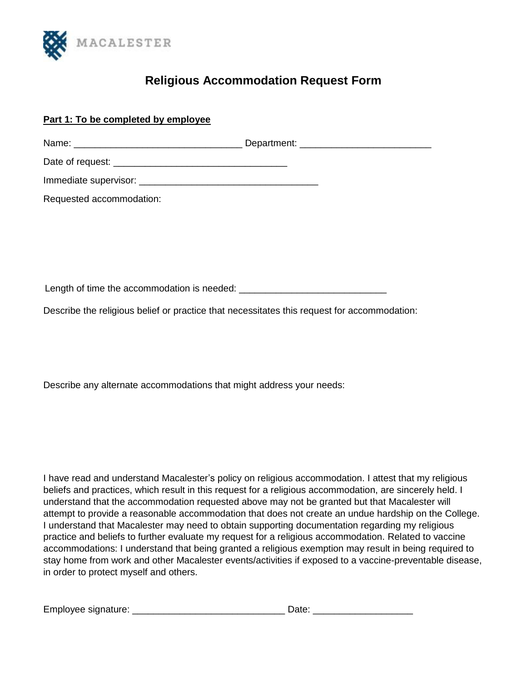

## **Religious Accommodation Request Form**

## **Part 1: To be completed by employee**

Name: \_\_\_\_\_\_\_\_\_\_\_\_\_\_\_\_\_\_\_\_\_\_\_\_\_\_\_\_\_\_\_\_ Department: \_\_\_\_\_\_\_\_\_\_\_\_\_\_\_\_\_\_\_\_\_\_\_\_\_

Date of request: \_\_\_\_\_\_\_\_\_\_\_\_\_\_\_\_\_\_\_\_\_\_\_\_\_\_\_\_\_\_\_\_\_

Immediate supervisor: \_\_\_\_\_\_\_\_\_\_\_\_\_\_\_\_\_\_\_\_\_\_\_\_\_\_\_\_\_\_\_\_\_\_

Requested accommodation:

Length of time the accommodation is needed: \_\_\_\_\_\_\_\_\_\_\_\_\_\_\_\_\_\_\_\_\_\_\_\_\_\_\_\_

Describe the religious belief or practice that necessitates this request for accommodation:

Describe any alternate accommodations that might address your needs:

I have read and understand Macalester's policy on religious accommodation. I attest that my religious beliefs and practices, which result in this request for a religious accommodation, are sincerely held. I understand that the accommodation requested above may not be granted but that Macalester will attempt to provide a reasonable accommodation that does not create an undue hardship on the College. I understand that Macalester may need to obtain supporting documentation regarding my religious practice and beliefs to further evaluate my request for a religious accommodation. Related to vaccine accommodations: I understand that being granted a religious exemption may result in being required to stay home from work and other Macalester events/activities if exposed to a vaccine-preventable disease, in order to protect myself and others.

| Employee signature: |  |
|---------------------|--|
|                     |  |